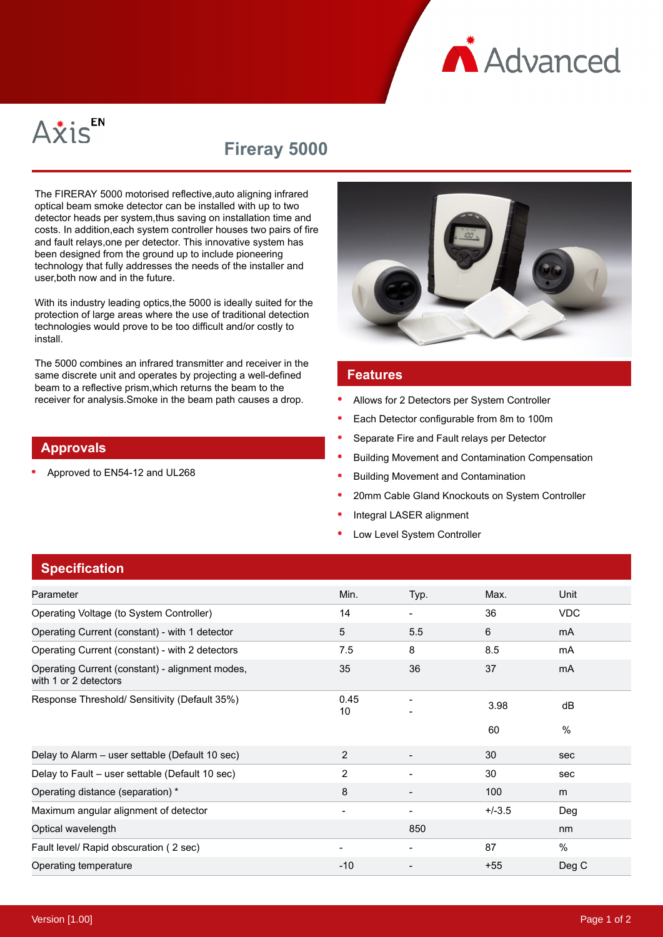**A** Advanced



# **Fireray 5000**

The FIRERAY 5000 motorised reflective,auto aligning infrared optical beam smoke detector can be installed with up to two detector heads per system,thus saving on installation time and costs. In addition,each system controller houses two pairs of fire and fault relays,one per detector. This innovative system has been designed from the ground up to include pioneering technology that fully addresses the needs of the installer and user,both now and in the future.

With its industry leading optics,the 5000 is ideally suited for the protection of large areas where the use of traditional detection technologies would prove to be too difficult and/or costly to install.

The 5000 combines an infrared transmitter and receiver in the same discrete unit and operates by projecting a well-defined beam to a reflective prism,which returns the beam to the receiver for analysis.Smoke in the beam path causes a drop.

### **Approvals**

Approved to EN54-12 and UL268



### **Features**

- Allows for 2 Detectors per System Controller
- Each Detector configurable from 8m to 100m
- Separate Fire and Fault relays per Detector
- Building Movement and Contamination Compensation
- Building Movement and Contamination
- 20mm Cable Gland Knockouts on System Controller
- Integral LASER alignment
- Low Level System Controller

## **Specification**

| Parameter                                                                | Min.                     | Typ. | Max.     | Unit           |
|--------------------------------------------------------------------------|--------------------------|------|----------|----------------|
| Operating Voltage (to System Controller)                                 | 14                       |      | 36       | <b>VDC</b>     |
| Operating Current (constant) - with 1 detector                           | 5                        | 5.5  | 6        | mA             |
| Operating Current (constant) - with 2 detectors                          | 7.5                      | 8    | 8.5      | mA             |
| Operating Current (constant) - alignment modes,<br>with 1 or 2 detectors | 35                       | 36   | 37       | m <sub>A</sub> |
| Response Threshold/ Sensitivity (Default 35%)                            | 0.45<br>10               |      | 3.98     | dB             |
|                                                                          |                          |      | 60       | $\frac{0}{0}$  |
| Delay to Alarm - user settable (Default 10 sec)                          | 2                        |      | 30       | sec            |
| Delay to Fault - user settable (Default 10 sec)                          | 2                        |      | 30       | sec            |
| Operating distance (separation) *                                        | 8                        |      | 100      | m              |
| Maximum angular alignment of detector                                    |                          |      | $+/-3.5$ | Deg            |
| Optical wavelength                                                       |                          | 850  |          | nm             |
| Fault level/ Rapid obscuration (2 sec)                                   | $\overline{\phantom{0}}$ | ۰    | 87       | $\frac{0}{0}$  |
| Operating temperature                                                    | $-10$                    |      | $+55$    | Deg C          |